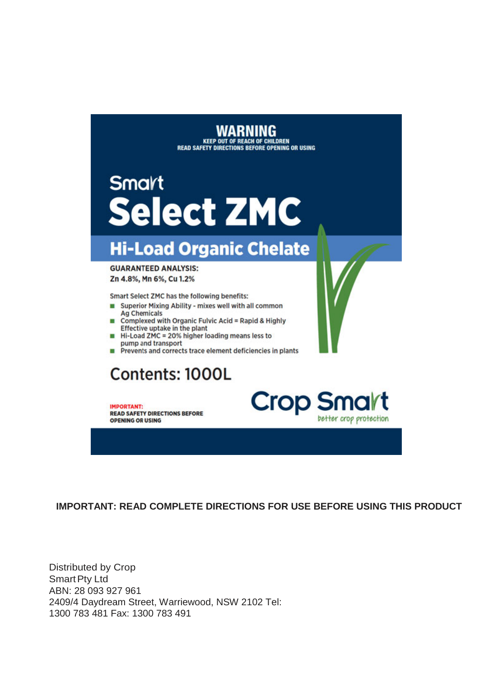WARNING<br>KEEP OUT OF REACH OF CHILDREN<br>READ SAFETY DIRECTIONS BEFORE OPENING OR USING

# Smart **Select ZMC**

# **Hi-Load Organic Chelate**

**GUARANTEED ANALYSIS:** Zn 4.8%, Mn 6%, Cu 1.2%

Smart Select ZMC has the following benefits:

- Superior Mixing Ability mixes well with all common **Ag Chemicals**
- Complexed with Organic Fulvic Acid = Rapid & Highly Effective uptake in the plant
- Hi-Load ZMC = 20% higher loading means less to pump and transport
- Prevents and corrects trace element deficiencies in plants

# Contents: 1000L

**IMPORTANT: READ SAFETY DIRECTIONS BEFORE OPENING OR USING** 



**IMPORTANT: READ COMPLETE DIRECTIONS FOR USE BEFORE USING THIS PRODUCT** 

**Distributed by Crop Smart Pty Ltd** ABN: 28 093 927 961 2409/4 Daydream Street, Warriewood, NSW 2102 Tel: 1300 783 481 Fax: 1300 783 491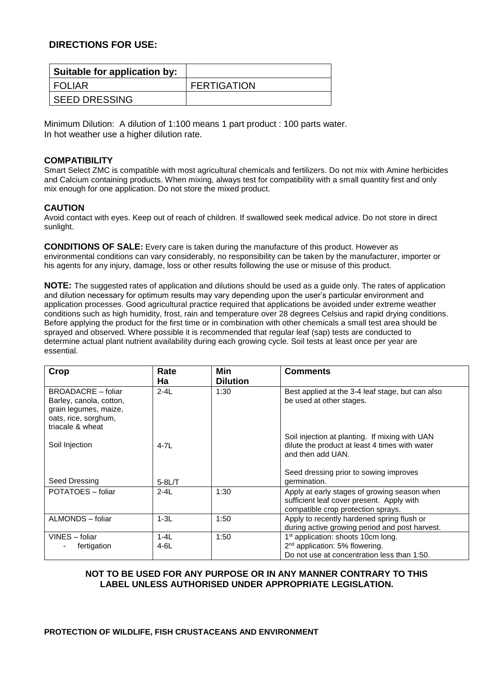## **DIRECTIONS FOR USE:**

| Suitable for application by: |                    |
|------------------------------|--------------------|
| <b>FOLIAR</b>                | <b>FERTIGATION</b> |
| <b>SEED DRESSING</b>         |                    |

Minimum Dilution: A dilution of 1:100 means 1 part product : 100 parts water. In hot weather use a higher dilution rate.

#### **COMPATIBILITY**

Smart Select ZMC is compatible with most agricultural chemicals and fertilizers. Do not mix with Amine herbicides and Calcium containing products. When mixing, always test for compatibility with a small quantity first and only mix enough for one application. Do not store the mixed product.

### **CAUTION**

Avoid contact with eyes. Keep out of reach of children. If swallowed seek medical advice. Do not store in direct sunlight.

**CONDITIONS OF SALE:** Every care is taken during the manufacture of this product. However as environmental conditions can vary considerably, no responsibility can be taken by the manufacturer, importer or his agents for any injury, damage, loss or other results following the use or misuse of this product.

**NOTE:** The suggested rates of application and dilutions should be used as a guide only. The rates of application and dilution necessary for optimum results may vary depending upon the user's particular environment and application processes. Good agricultural practice required that applications be avoided under extreme weather conditions such as high humidity, frost, rain and temperature over 28 degrees Celsius and rapid drying conditions. Before applying the product for the first time or in combination with other chemicals a small test area should be sprayed and observed. Where possible it is recommended that regular leaf (sap) tests are conducted to determine actual plant nutrient availability during each growing cycle. Soil tests at least once per year are essential.

| Crop                      | Rate       | Min             | <b>Comments</b>                                                     |
|---------------------------|------------|-----------------|---------------------------------------------------------------------|
|                           | Ha         | <b>Dilution</b> |                                                                     |
| <b>BROADACRE</b> – foliar | $2 - 4L$   | 1:30            | Best applied at the 3-4 leaf stage, but can also                    |
| Barley, canola, cotton,   |            |                 | be used at other stages.                                            |
| grain legumes, maize,     |            |                 |                                                                     |
| oats, rice, sorghum,      |            |                 |                                                                     |
| triacale & wheat          |            |                 |                                                                     |
|                           |            |                 | Soil injection at planting. If mixing with UAN                      |
| Soil Injection            | $4 - 7L$   |                 | dilute the product at least 4 times with water<br>and then add UAN. |
|                           |            |                 |                                                                     |
|                           |            |                 | Seed dressing prior to sowing improves                              |
| Seed Dressing             | $5 - 8L/T$ |                 | germination.                                                        |
| POTATOES - foliar         | $2 - 4$    | 1:30            | Apply at early stages of growing season when                        |
|                           |            |                 | sufficient leaf cover present. Apply with                           |
|                           |            |                 | compatible crop protection sprays.                                  |
| ALMONDS - foliar          | $1-3L$     | 1:50            | Apply to recently hardened spring flush or                          |
|                           |            |                 | during active growing period and post harvest.                      |
| VINES - foliar            | $1-4L$     | 1:50            | 1 <sup>st</sup> application: shoots 10cm long.                      |
| fertigation               | $4-6L$     |                 | 2 <sup>nd</sup> application: 5% flowering.                          |
|                           |            |                 | Do not use at concentration less than 1:50.                         |

## **NOT TO BE USED FOR ANY PURPOSE OR IN ANY MANNER CONTRARY TO THIS LABEL UNLESS AUTHORISED UNDER APPROPRIATE LEGISLATION.**